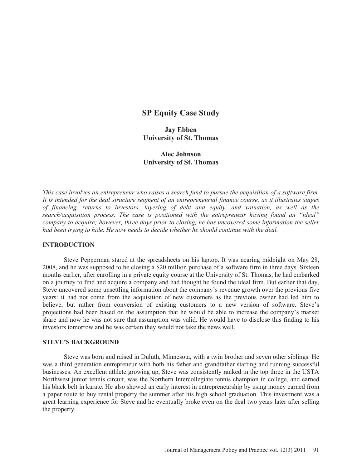# **SP Equity Case Study**

**Jay Ebben University of St. Thomas** 

# **Alec Johnson University of St. Thomas**

*This case involves an entrepreneur who raises a search fund to pursue the acquisition of a software firm. It is intended for the deal structure segment of an entrepreneurial finance course, as it illustrates stages of financing, returns to investors, layering of debt and equity, and valuation, as well as the search/acquisition process. The case is positioned with the entrepreneur having found an "ideal" company to acquire; however, three days prior to closing, he has uncovered some information the seller had been trying to hide. He now needs to decide whether he should continue with the deal.* 

### **INTRODUCTION**

Steve Pepperman stared at the spreadsheets on his laptop. It was nearing midnight on May 28, 2008, and he was supposed to be closing a \$20 million purchase of a software firm in three days. Sixteen months earlier, after enrolling in a private equity course at the University of St. Thomas, he had embarked on a journey to find and acquire a company and had thought he found the ideal firm. But earlier that day, Steve uncovered some unsettling information about the company's revenue growth over the previous five years: it had not come from the acquisition of new customers as the previous owner had led him to believe, but rather from conversion of existing customers to a new version of software. Steve's projections had been based on the assumption that he would be able to increase the company's market share and now he was not sure that assumption was valid. He would have to disclose this finding to his investors tomorrow and he was certain they would not take the news well.

## **STEVE'S BACKGROUND**

Steve was born and raised in Duluth, Minnesota, with a twin brother and seven other siblings. He was a third generation entrepreneur with both his father and grandfather starting and running successful businesses. An excellent athlete growing up, Steve was consistently ranked in the top three in the USTA Northwest junior tennis circuit, was the Northern Intercollegiate tennis champion in college, and earned his black belt in karate. He also showed an early interest in entrepreneurship by using money earned from a paper route to buy rental property the summer after his high school graduation. This investment was a great learning experience for Steve and he eventually broke even on the deal two years later after selling the property.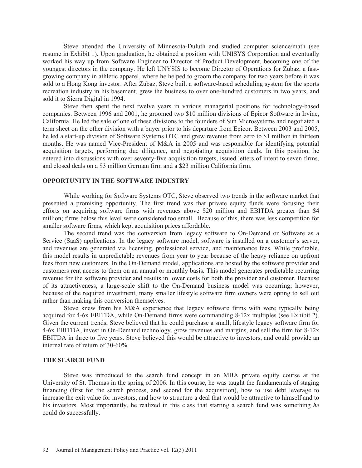Steve attended the University of Minnesota-Duluth and studied computer science/math (see resume in Exhibit 1). Upon graduation, he obtained a position with UNISYS Corporation and eventually worked his way up from Software Engineer to Director of Product Development, becoming one of the youngest directors in the company. He left UNYSIS to become Director of Operations for Zubaz, a fastgrowing company in athletic apparel, where he helped to groom the company for two years before it was sold to a Hong Kong investor. After Zubaz, Steve built a software-based scheduling system for the sports recreation industry in his basement, grew the business to over one-hundred customers in two years, and sold it to Sierra Digital in 1994.

Steve then spent the next twelve years in various managerial positions for technology-based companies. Between 1996 and 2001, he groomed two \$10 million divisions of Epicor Software in Irvine, California. He led the sale of one of these divisions to the founders of Sun Microsystems and negotiated a term sheet on the other division with a buyer prior to his departure from Epicor. Between 2003 and 2005, he led a start-up division of Software Systems OTC and grew revenue from zero to \$1 million in thirteen months. He was named Vice-President of M&A in 2005 and was responsible for identifying potential acquisition targets, performing due diligence, and negotiating acquisition deals. In this position, he entered into discussions with over seventy-five acquisition targets, issued letters of intent to seven firms, and closed deals on a \$3 million German firm and a \$23 million California firm.

#### **OPPORTUNITY IN THE SOFTWARE INDUSTRY**

While working for Software Systems OTC, Steve observed two trends in the software market that presented a promising opportunity. The first trend was that private equity funds were focusing their efforts on acquiring software firms with revenues above \$20 million and EBITDA greater than \$4 million; firms below this level were considered too small. Because of this, there was less competition for smaller software firms, which kept acquisition prices affordable.

The second trend was the conversion from legacy software to On-Demand or Software as a Service (SaaS) applications. In the legacy software model, software is installed on a customer's server, and revenues are generated via licensing, professional service, and maintenance fees. While profitable, this model results in unpredictable revenues from year to year because of the heavy reliance on upfront fees from new customers. In the On-Demand model, applications are hosted by the software provider and customers rent access to them on an annual or monthly basis. This model generates predictable recurring revenue for the software provider and results in lower costs for both the provider and customer. Because of its attractiveness, a large-scale shift to the On-Demand business model was occurring; however, because of the required investment, many smaller lifestyle software firm owners were opting to sell out rather than making this conversion themselves.

Steve knew from his M&A experience that legacy software firms with were typically being acquired for 4-6x EBITDA, while On-Demand firms were commanding 8-12x multiples (see Exhibit 2). Given the current trends, Steve believed that he could purchase a small, lifestyle legacy software firm for 4-6x EBITDA, invest in On-Demand technology, grow revenues and margins, and sell the firm for 8-12x EBITDA in three to five years. Steve believed this would be attractive to investors, and could provide an internal rate of return of 30-60%.

### **THE SEARCH FUND**

Steve was introduced to the search fund concept in an MBA private equity course at the University of St. Thomas in the spring of 2006. In this course, he was taught the fundamentals of staging financing (first for the search process, and second for the acquisition), how to use debt leverage to increase the exit value for investors, and how to structure a deal that would be attractive to himself and to his investors. Most importantly, he realized in this class that starting a search fund was something *he* could do successfully.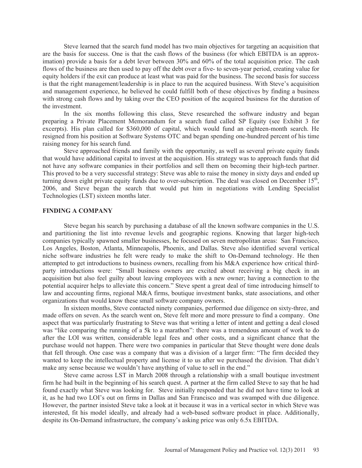Steve learned that the search fund model has two main objectives for targeting an acquisition that are the basis for success. One is that the cash flows of the business (for which EBITDA is an approximation) provide a basis for a debt lever between 30% and 60% of the total acquisition price. The cash flows of the business are then used to pay off the debt over a five- to seven-year period, creating value for equity holders if the exit can produce at least what was paid for the business. The second basis for success is that the right management/leadership is in place to run the acquired business. With Steve's acquisition and management experience, he believed he could fulfill both of these objectives by finding a business with strong cash flows and by taking over the CEO position of the acquired business for the duration of the investment.

In the six months following this class, Steve researched the software industry and began preparing a Private Placement Memorandum for a search fund called SP Equity (see Exhibit 3 for excerpts). His plan called for \$360,000 of capital, which would fund an eighteen-month search. He resigned from his position at Software Systems OTC and began spending one-hundred percent of his time raising money for his search fund.

Steve approached friends and family with the opportunity, as well as several private equity funds that would have additional capital to invest at the acquisition. His strategy was to approach funds that did not have any software companies in their portfolios and sell them on becoming their high-tech partner. This proved to be a very successful strategy: Steve was able to raise the money in sixty days and ended up turning down eight private equity funds due to over-subscription. The deal was closed on December 15<sup>th</sup>, 2006, and Steve began the search that would put him in negotiations with Lending Specialist Technologies (LST) sixteen months later.

## **FINDING A COMPANY**

Steve began his search by purchasing a database of all the known software companies in the U.S. and partitioning the list into revenue levels and geographic regions. Knowing that larger high-tech companies typically spawned smaller businesses, he focused on seven metropolitan areas: San Francisco, Los Angeles, Boston, Atlanta, Minneapolis, Phoenix, and Dallas. Steve also identified several vertical niche software industries he felt were ready to make the shift to On-Demand technology. He then attempted to get introductions to business owners, recalling from his M&A experience how critical thirdparty introductions were: "Small business owners are excited about receiving a big check in an acquisition but also feel guilty about leaving employees with a new owner; having a connection to the potential acquirer helps to alleviate this concern." Steve spent a great deal of time introducing himself to law and accounting firms, regional M&A firms, boutique investment banks, state associations, and other organizations that would know these small software company owners.

In sixteen months, Steve contacted ninety companies, performed due diligence on sixty-three, and made offers on seven. As the search went on, Steve felt more and more pressure to find a company. One aspect that was particularly frustrating to Steve was that writing a letter of intent and getting a deal closed was "like comparing the running of a 5k to a marathon": there was a tremendous amount of work to do after the LOI was written, considerable legal fees and other costs, and a significant chance that the purchase would not happen. There were two companies in particular that Steve thought were done deals that fell through. One case was a company that was a division of a larger firm: "The firm decided they wanted to keep the intellectual property and license it to us after we purchased the division. That didn't make any sense because we wouldn't have anything of value to sell in the end."

Steve came across LST in March 2008 through a relationship with a small boutique investment firm he had built in the beginning of his search quest. A partner at the firm called Steve to say that he had found exactly what Steve was looking for. Steve initially responded that he did not have time to look at it, as he had two LOI's out on firms in Dallas and San Francisco and was swamped with due diligence. However, the partner insisted Steve take a look at it because it was in a vertical sector in which Steve was interested, fit his model ideally, and already had a web-based software product in place. Additionally, despite its On-Demand infrastructure, the company's asking price was only 6.5x EBITDA.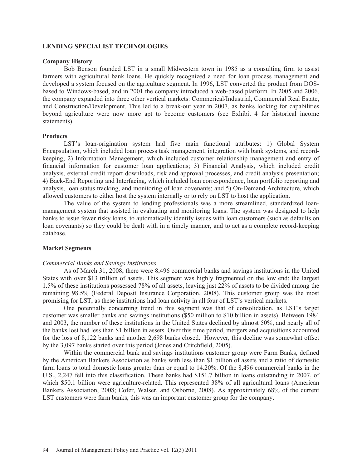### **LENDING SPECIALIST TECHNOLOGIES**

### **Company History**

Bob Benson founded LST in a small Midwestern town in 1985 as a consulting firm to assist farmers with agricultural bank loans. He quickly recognized a need for loan process management and developed a system focused on the agriculture segment. In 1996, LST converted the product from DOSbased to Windows-based, and in 2001 the company introduced a web-based platform. In 2005 and 2006, the company expanded into three other vertical markets: Commerical/Industrial, Commercial Real Estate, and Construction/Development. This led to a break-out year in 2007, as banks looking for capabilities beyond agriculture were now more apt to become customers (see Exhibit 4 for historical income statements).

### **Products**

LST's loan-origination system had five main functional attributes: 1) Global System Encapsulation, which included loan process task management, integration with bank systems, and recordkeeping; 2) Information Management, which included customer relationship management and entry of financial information for customer loan applications; 3) Financial Analysis, which included credit analysis, external credit report downloads, risk and approval processes, and credit analysis presentation; 4) Back-End Reporting and Interfacing, which included loan correspondence, loan portfolio reporting and analysis, loan status tracking, and monitoring of loan covenants; and 5) On-Demand Architecture, which allowed customers to either host the system internally or to rely on LST to host the application.

The value of the system to lending professionals was a more streamlined, standardized loanmanagement system that assisted in evaluating and monitoring loans. The system was designed to help banks to issue fewer risky loans, to automatically identify issues with loan customers (such as defaults on loan covenants) so they could be dealt with in a timely manner, and to act as a complete record-keeping database.

### **Market Segments**

#### *Commercial Banks and Savings Institutions*

As of March 31, 2008, there were 8,496 commercial banks and savings institutions in the United States with over \$13 trillion of assets. This segment was highly fragmented on the low end: the largest 1.5% of these institutions possessed 78% of all assets, leaving just 22% of assets to be divided among the remaining 98.5% (Federal Deposit Insurance Corporation, 2008). This customer group was the most promising for LST, as these institutions had loan activity in all four of LST's vertical markets.

One potentially concerning trend in this segment was that of consolidation, as LST's target customer was smaller banks and savings institutions (\$50 million to \$10 billion in assets). Between 1984 and 2003, the number of these institutions in the United States declined by almost 50%, and nearly all of the banks lost had less than \$1 billion in assets. Over this time period, mergers and acquisitions accounted for the loss of 8,122 banks and another 2,698 banks closed. However, this decline was somewhat offset by the 3,097 banks started over this period (Jones and Critchfield, 2005).

Within the commercial bank and savings institutions customer group were Farm Banks, defined by the American Bankers Association as banks with less than \$1 billion of assets and a ratio of domestic farm loans to total domestic loans greater than or equal to 14.20%. Of the 8,496 commercial banks in the U.S., 2,247 fell into this classification. These banks had \$151.7 billion in loans outstanding in 2007, of which \$50.1 billion were agriculture-related. This represented 38% of all agricultural loans (American Bankers Association, 2008; Cofer, Walser, and Osborne, 2008). As approximately 68% of the current LST customers were farm banks, this was an important customer group for the company.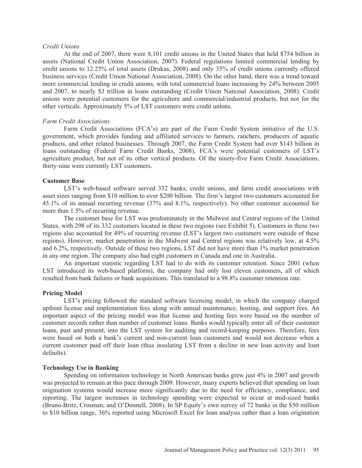#### *Credit Unions*

At the end of 2007, there were 8,101 credit unions in the United States that held \$754 billion in assets (National Credit Union Association, 2007). Federal regulations limited commercial lending by credit unions to 12.25% of total assets (Drukas, 2008) and only 35% of credit unions currently offered business services (Credit Union National Association, 2008). On the other hand, there was a trend toward more commercial lending in credit unions, with total commercial loans increasing by 24% between 2005 and 2007, to nearly \$3 trillion in loans outstanding (Credit Union National Association, 2008). Credit unions were potential customers for the agriculture and commercial/industrial products, but not for the other verticals. Approximately 5% of LST customers were credit unions.

#### *Farm Credit Associations*

Farm Credit Associations (FCA's) are part of the Farm Credit System initiative of the U.S. government, which provides funding and affiliated services to farmers, ranchers, producers of aquatic products, and other related businesses. Through 2007, the Farm Credit System had over \$143 billion in loans outstanding (Federal Farm Credit Banks, 2008). FCA's were potential customers of LST's agriculture product, but not of its other vertical products. Of the ninety-five Farm Credit Associations, thirty-nine were currently LST customers.

#### **Customer Base**

LST's web-based software served 332 banks, credit unions, and farm credit associations with asset sizes ranging from \$10 million to over \$200 billion. The firm's largest two customers accounted for 45.1% of its annual recurring revenue (37% and 8.1%, respectively). No other customer accounted for more than 1.5% of recurring revenue.

The customer base for LST was predominately in the Midwest and Central regions of the United States, with 298 of its 332 customers located in these two regions (see Exhibit 5). Customers in these two regions also accounted for 49% of recurring revenue (LST's largest two customers were outside of these regions). However, market penetration in the Midwest and Central regions was relatively low, at 4.5% and 6.2%, respectively. Outside of these two regions, LST did not have more than 1% market penetration in any one region. The company also had eight customers in Canada and one in Australia.

An important statistic regarding LST had to do with its customer retention. Since 2001 (when LST introduced its web-based platform), the company had only lost eleven customers, all of which resulted from bank failures or bank acquisitions. This translated to a 98.8% customer retention rate.

#### **Pricing Model**

LST's pricing followed the standard software licensing model, in which the company charged upfront license and implementation fees along with annual maintenance, hosting, and support fees. An important aspect of the pricing model was that license and hosting fees were based on the number of customer records rather than number of customer loans. Banks would typically enter all of their customer loans, past and present, into the LST system for auditing and record-keeping purposes. Therefore, fees were based on both a bank's current and non-current loan customers and would not decrease when a current customer paid off their loan (thus insulating LST from a decline in new loan activity and loan defaults).

#### **Technology Use in Banking**

Spending on information technology in North American banks grew just 4% in 2007 and growth was projected to remain at this pace through 2009. However, many experts believed that spending on loan origination systems would increase more significantly due to the need for efficiency, compliance, and reporting. The largest increases in technology spending were expected to occur at mid-sized banks (Bruno-Britz, Crosman, and O'Donnell, 2008). In SP Equity's own survey of 72 banks in the \$50 million to \$10 billion range, 36% reported using Microsoft Excel for loan analysis rather than a loan origination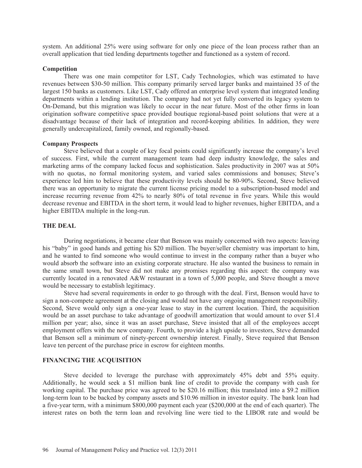system. An additional 25% were using software for only one piece of the loan process rather than an overall application that tied lending departments together and functioned as a system of record.

### **Competition**

There was one main competitor for LST, Cady Technologies, which was estimated to have revenues between \$30-50 million. This company primarily served larger banks and maintained 35 of the largest 150 banks as customers. Like LST, Cady offered an enterprise level system that integrated lending departments within a lending institution. The company had not yet fully converted its legacy system to On-Demand, but this migration was likely to occur in the near future. Most of the other firms in loan origination software competitive space provided boutique regional-based point solutions that were at a disadvantage because of their lack of integration and record-keeping abilities. In addition, they were generally undercapitalized, family owned, and regionally-based.

### **Company Prospects**

Steve believed that a couple of key focal points could significantly increase the company's level of success. First, while the current management team had deep industry knowledge, the sales and marketing arms of the company lacked focus and sophistication. Sales productivity in 2007 was at 50% with no quotas, no formal monitoring system, and varied sales commissions and bonuses; Steve's experience led him to believe that these productivity levels should be 80-90%. Second, Steve believed there was an opportunity to migrate the current license pricing model to a subscription-based model and increase recurring revenue from 42% to nearly 80% of total revenue in five years. While this would decrease revenue and EBITDA in the short term, it would lead to higher revenues, higher EBITDA, and a higher EBITDA multiple in the long-run.

## **THE DEAL**

During negotiations, it became clear that Benson was mainly concerned with two aspects: leaving his "baby" in good hands and getting his \$20 million. The buyer/seller chemistry was important to him, and he wanted to find someone who would continue to invest in the company rather than a buyer who would absorb the software into an existing corporate structure. He also wanted the business to remain in the same small town, but Steve did not make any promises regarding this aspect: the company was currently located in a renovated A&W restaurant in a town of 5,000 people, and Steve thought a move would be necessary to establish legitimacy.

Steve had several requirements in order to go through with the deal. First, Benson would have to sign a non-compete agreement at the closing and would not have any ongoing management responsibility. Second, Steve would only sign a one-year lease to stay in the current location. Third, the acquisition would be an asset purchase to take advantage of goodwill amortization that would amount to over \$1.4 million per year; also, since it was an asset purchase, Steve insisted that all of the employees accept employment offers with the new company. Fourth, to provide a high upside to investors, Steve demanded that Benson sell a minimum of ninety-percent ownership interest. Finally, Steve required that Benson leave ten percent of the purchase price in escrow for eighteen months.

### **FINANCING THE ACQUISITION**

Steve decided to leverage the purchase with approximately 45% debt and 55% equity. Additionally, he would seek a \$1 million bank line of credit to provide the company with cash for working capital. The purchase price was agreed to be \$20.16 million; this translated into a \$9.2 million long-term loan to be backed by company assets and \$10.96 million in investor equity. The bank loan had a five-year term, with a minimum \$800,000 payment each year (\$200,000 at the end of each quarter). The interest rates on both the term loan and revolving line were tied to the LIBOR rate and would be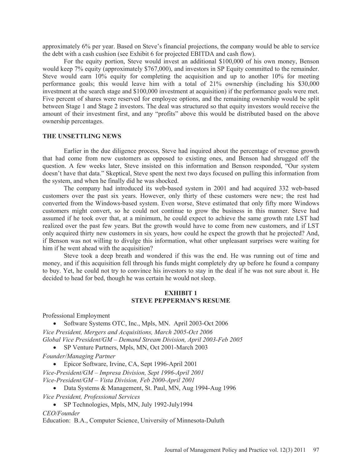approximately 6% per year. Based on Steve's financial projections, the company would be able to service the debt with a cash cushion (see Exhibit 6 for projected EBITDA and cash flow).

For the equity portion, Steve would invest an additional \$100,000 of his own money, Benson would keep 7% equity (approximately \$767,000), and investors in SP Equity committed to the remainder. Steve would earn 10% equity for completing the acquisition and up to another 10% for meeting performance goals; this would leave him with a total of 21% ownership (including his \$30,000 investment at the search stage and \$100,000 investment at acquisition) if the performance goals were met. Five percent of shares were reserved for employee options, and the remaining ownership would be split between Stage 1 and Stage 2 investors. The deal was structured so that equity investors would receive the amount of their investment first, and any "profits" above this would be distributed based on the above ownership percentages.

## **THE UNSETTLING NEWS**

Earlier in the due diligence process, Steve had inquired about the percentage of revenue growth that had come from new customers as opposed to existing ones, and Benson had shrugged off the question. A few weeks later, Steve insisted on this information and Benson responded, "Our system doesn't have that data." Skeptical, Steve spent the next two days focused on pulling this information from the system, and when he finally did he was shocked.

The company had introduced its web-based system in 2001 and had acquired 332 web-based customers over the past six years. However, only thirty of these customers were new; the rest had converted from the Windows-based system. Even worse, Steve estimated that only fifty more Windows customers might convert, so he could not continue to grow the business in this manner. Steve had assumed if he took over that, at a minimum, he could expect to achieve the same growth rate LST had realized over the past few years. But the growth would have to come from new customers, and if LST only acquired thirty new customers in six years, how could he expect the growth that he projected? And, if Benson was not willing to divulge this information, what other unpleasant surprises were waiting for him if he went ahead with the acquisition?

Steve took a deep breath and wondered if this was the end. He was running out of time and money, and if this acquisition fell through his funds might completely dry up before he found a company to buy. Yet, he could not try to convince his investors to stay in the deal if he was not sure about it. He decided to head for bed, though he was certain he would not sleep.

## **EXHIBIT 1 STEVE PEPPERMAN'S RESUME**

Professional Employment

• Software Systems OTC, Inc., Mpls, MN. April 2003-Oct 2006 *Vice President, Mergers and Acquisitions, March 2005-Oct 2006 Global Vice President/GM – Demand Stream Division, April 2003-Feb 2005* 

• SP Venture Partners, Mpls, MN, Oct 2001-March 2003

*Founder/Managing Partner*

• Epicor Software, Irvine, CA, Sept 1996-April 2001

*Vice-President/GM – Impresa Division, Sept 1996-April 2001 Vice-President/GM – Vista Division, Feb 2000-April 2001* 

• Data Systems & Management, St. Paul, MN, Aug 1994-Aug 1996

*Vice President, Professional Services* 

• SP Technologies, Mpls, MN, July 1992-July 1994

*CEO/Founder* 

Education: B.A., Computer Science, University of Minnesota-Duluth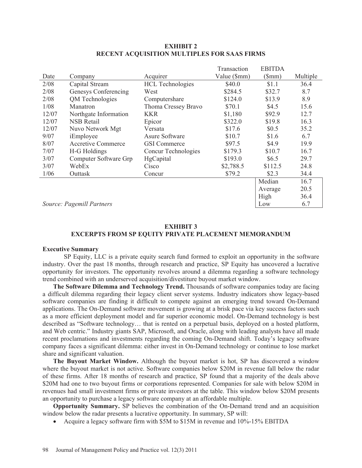|                           |                       |                         | Transaction  | <b>EBITDA</b> |          |
|---------------------------|-----------------------|-------------------------|--------------|---------------|----------|
| Date                      | Company               | Acquirer                | Value (\$mm) | (Smm)         | Multiple |
| 2/08                      | Capital Stream        | <b>HCL</b> Technologies | \$40.0       | \$1.1         | 36.4     |
| 2/08                      | Genesys Conferencing  | West                    | \$284.5      | \$32.7        | 8.7      |
| 2/08                      | QM Technologies       | Computershare           | \$124.0      | \$13.9        | 8.9      |
| 1/08                      | Manatron              | Thoma Cressey Bravo     | \$70.1       | \$4.5         | 15.6     |
| 12/07                     | Northgate Information | <b>KKR</b>              | \$1,180      | \$92.9        | 12.7     |
| 12/07                     | <b>NSB</b> Retail     | Epicor                  | \$322.0      | \$19.8        | 16.3     |
| 12/07                     | Nuvo Network Mgt      | Versata                 | \$17.6       | \$0.5         | 35.2     |
| 9/07                      | iEmployee             | Asure Software          | \$10.7       | \$1.6         | 6.7      |
| 8/07                      | Accretive Commerce    | <b>GSI</b> Commerce     | \$97.5       | \$4.9         | 19.9     |
| 7/07                      | H-G Holdings          | Concur Technologies     | \$179.3      | \$10.7        | 16.7     |
| 3/07                      | Computer Software Grp | HgCapital               | \$193.0      | \$6.5         | 29.7     |
| 3/07                      | WebEx                 | Cisco                   | \$2,788.5    | \$112.5       | 24.8     |
| 1/06                      | Outtask               | Concur                  | \$79.2       | \$2.3         | 34.4     |
|                           |                       |                         |              | Median        | 16.7     |
|                           |                       |                         |              | Average       | 20.5     |
|                           |                       |                         |              | High          | 36.4     |
| Source: Pagemill Partners |                       |                         |              | Low           | 6.7      |

### **EXHIBIT 2 RECENT ACQUISITION MULTIPLES FOR SAAS FIRMS**

## **EXHIBIT 3 EXCERPTS FROM SP EQUITY PRIVATE PLACEMENT MEMORANDUM**

### **Executive Summary**

SP Equity, LLC is a private equity search fund formed to exploit an opportunity in the software industry. Over the past 18 months, through research and practice, SP Equity has uncovered a lucrative opportunity for investors. The opportunity revolves around a dilemma regarding a software technology trend combined with an underserved acquisition/divestiture buyout market window.

**The Software Dilemma and Technology Trend.** Thousands of software companies today are facing a difficult dilemma regarding their legacy client server systems. Industry indicators show legacy-based software companies are finding it difficult to compete against an emerging trend toward On-Demand applications. The On-Demand software movement is growing at a brisk pace via key success factors such as a more efficient deployment model and far superior economic model. On-Demand technology is best described as "Software technology… that is rented on a perpetual basis, deployed on a hosted platform, and Web centric." Industry giants SAP, Microsoft, and Oracle, along with leading analysts have all made recent proclamations and investments regarding the coming On-Demand shift. Today's legacy software company faces a significant dilemma: either invest in On-Demand technology or continue to lose market share and significant valuation.

**The Buyout Market Window.** Although the buyout market is hot, SP has discovered a window where the buyout market is not active. Software companies below \$20M in revenue fall below the radar of these firms. After 18 months of research and practice, SP found that a majority of the deals above \$20M had one to two buyout firms or corporations represented. Companies for sale with below \$20M in revenues had small investment firms or private investors at the table. This window below \$20M presents an opportunity to purchase a legacy software company at an affordable multiple.

**Opportunity Summary.** SP believes the combination of the On-Demand trend and an acquisition window below the radar presents a lucrative opportunity. In summary, SP will:

• Acquire a legacy software firm with  $$5M$  to  $$15M$  in revenue and  $10\%$ -15% EBITDA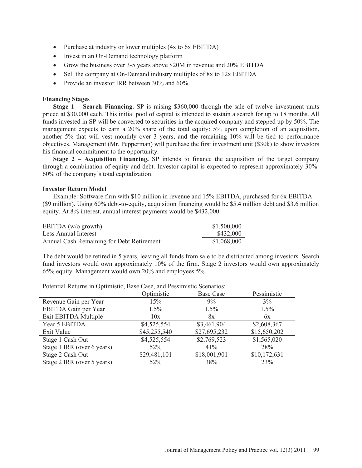- Purchase at industry or lower multiples  $(4x \text{ to } 6x \text{ EBITDA})$
- Invest in an On-Demand technology platform
- Grow the business over 3-5 years above \$20M in revenue and 20% EBITDA
- Sell the company at On-Demand industry multiples of 8x to 12x EBITDA
- Provide an investor IRR between  $30\%$  and  $60\%$ .

### **Financing Stages**

**Stage 1 – Search Financing.** SP is raising \$360,000 through the sale of twelve investment units priced at \$30,000 each. This initial pool of capital is intended to sustain a search for up to 18 months. All funds invested in SP will be converted to securities in the acquired company and stepped up by 50%. The management expects to earn a 20% share of the total equity: 5% upon completion of an acquisition, another 5% that will vest monthly over 3 years, and the remaining 10% will be tied to performance objectives. Management (Mr. Pepperman) will purchase the first investment unit (\$30k) to show investors his financial commitment to the opportunity.

**Stage 2 – Acquisition Financing.** SP intends to finance the acquisition of the target company through a combination of equity and debt. Investor capital is expected to represent approximately 30%- 60% of the company's total capitalization.

#### **Investor Return Model**

Example: Software firm with \$10 million in revenue and 15% EBITDA, purchased for 6x EBITDA (\$9 million). Using 60% debt-to-equity, acquisition financing would be \$5.4 million debt and \$3.6 million equity. At 8% interest, annual interest payments would be \$432,000.

| EBITDA $(w/o)$ growth)                    | \$1,500,000 |
|-------------------------------------------|-------------|
| Less Annual Interest                      | \$432,000   |
| Annual Cash Remaining for Debt Retirement | \$1,068,000 |

The debt would be retired in 5 years, leaving all funds from sale to be distributed among investors. Search fund investors would own approximately 10% of the firm. Stage 2 investors would own approximately 65% equity. Management would own 20% and employees 5%.

Potential Returns in Optimistic, Base Case, and Pessimistic Scenarios:

|                            | Optimistic   | <b>Base Case</b> | Pessimistic  |
|----------------------------|--------------|------------------|--------------|
| Revenue Gain per Year      | 15%          | 9%               | $3\%$        |
| EBITDA Gain per Year       | 1.5%         | 1.5%             | $1.5\%$      |
| Exit EBITDA Multiple       | 10x          | 8x               | 6x           |
| Year 5 EBITDA              | \$4,525,554  | \$3,461,904      | \$2,608,367  |
| Exit Value                 | \$45,255,540 | \$27,695,232     | \$15,650,202 |
| Stage 1 Cash Out           | \$4,525,554  | \$2,769,523      | \$1,565,020  |
| Stage 1 IRR (over 6 years) | $52\%$       | 41%              | 28%          |
| Stage 2 Cash Out           | \$29,481,101 | \$18,001,901     | \$10,172,631 |
| Stage 2 IRR (over 5 years) | $52\%$       | 38%              | 23%          |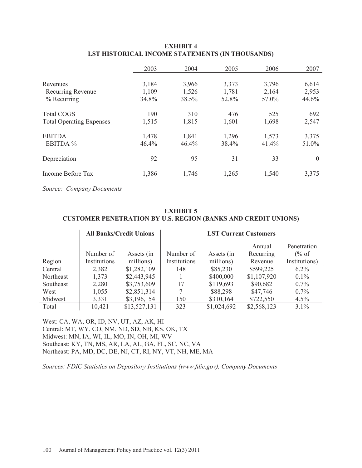|                                 | 2003  | 2004  | 2005  | 2006  | 2007     |
|---------------------------------|-------|-------|-------|-------|----------|
| Revenues                        | 3,184 | 3,966 | 3,373 | 3,796 | 6,614    |
| Recurring Revenue               | 1,109 | 1,526 | 1,781 | 2,164 | 2,953    |
| $%$ Recurring                   | 34.8% | 38.5% | 52.8% | 57.0% | 44.6%    |
| <b>Total COGS</b>               | 190   | 310   | 476   | 525   | 692      |
| <b>Total Operating Expenses</b> | 1,515 | 1,815 | 1,601 | 1,698 | 2,547    |
| <b>EBITDA</b>                   | 1,478 | 1,841 | 1,296 | 1,573 | 3,375    |
| EBITDA %                        | 46.4% | 46.4% | 38.4% | 41.4% | 51.0%    |
| Depreciation                    | 92    | 95    | 31    | 33    | $\theta$ |
| Income Before Tax               | 1,386 | 1,746 | 1,265 | 1,540 | 3,375    |

# **EXHIBIT 4 LST HISTORICAL INCOME STATEMENTS (IN THOUSANDS)**

*Source: Company Documents* 

# **EXHIBIT 5 CUSTOMER PENETRATION BY U.S. REGION (BANKS AND CREDIT UNIONS)**

|           | <b>All Banks/Credit Unions</b> |                         | <b>LST Current Customers</b> |                         |                                |                                                  |
|-----------|--------------------------------|-------------------------|------------------------------|-------------------------|--------------------------------|--------------------------------------------------|
| Region    | Number of<br>Institutions      | Assets (in<br>millions) | Number of<br>Institutions    | Assets (in<br>millions) | Annual<br>Recurring<br>Revenue | Penetration<br>$\frac{6}{6}$ of<br>Institutions) |
| Central   | 2,382                          | \$1,282,109             | 148                          | \$85,230                | \$599,225                      | $6.2\%$                                          |
| Northeast | 1,373                          | \$2,443,945             |                              | \$400,000               | \$1,107,920                    | $0.1\%$                                          |
| Southeast | 2,280                          | \$3,753,609             | 17                           | \$119,693               | \$90,682                       | $0.7\%$                                          |
| West      | 1,055                          | \$2,851,314             |                              | \$88,298                | \$47,746                       | 0.7%                                             |
| Midwest   | 3,331                          | \$3,196,154             | 150                          | \$310,164               | \$722,550                      | 4.5%                                             |
| Total     | 10,421                         | \$13,527,131            | 323                          | \$1,024,692             | \$2,568,123                    | 3.1%                                             |

West: CA, WA, OR, ID, NV, UT, AZ, AK, HI Central: MT, WY, CO, NM, ND, SD, NB, KS, OK, TX Midwest: MN, IA, WI, IL, MO, IN, OH, MI, WV Southeast: KY, TN, MS, AR, LA, AL, GA, FL, SC, NC, VA Northeast: PA, MD, DC, DE, NJ, CT, RI, NY, VT, NH, ME, MA

*Sources: FDIC Statistics on Depository Institutions (www.fdic.gov), Company Documents*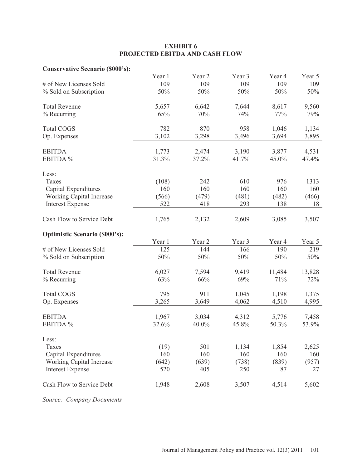# **EXHIBIT 6 PROJECTED EBITDA AND CASH FLOW**

# **Conservative Scenario (\$000's):**

|                                       | Year 1 | Year <sub>2</sub> | Year 3 | Year 4 | Year 5 |
|---------------------------------------|--------|-------------------|--------|--------|--------|
| # of New Licenses Sold                | 109    | 109               | 109    | 109    | 109    |
| % Sold on Subscription                | 50%    | 50%               | 50%    | 50%    | 50%    |
| <b>Total Revenue</b>                  | 5,657  | 6,642             | 7,644  | 8,617  | 9,560  |
| % Recurring                           | 65%    | 70%               | 74%    | 77%    | 79%    |
| <b>Total COGS</b>                     | 782    | 870               | 958    | 1,046  | 1,134  |
| Op. Expenses                          | 3,102  | 3,298             | 3,496  | 3,694  | 3,895  |
| <b>EBITDA</b>                         | 1,773  | 2,474             | 3,190  | 3,877  | 4,531  |
| EBITDA %                              | 31.3%  | 37.2%             | 41.7%  | 45.0%  | 47.4%  |
| Less:                                 |        |                   |        |        |        |
| Taxes                                 | (108)  | 242               | 610    | 976    | 1313   |
| Capital Expenditures                  | 160    | 160               | 160    | 160    | 160    |
| Working Capital Increase              | (566)  | (479)             | (481)  | (482)  | (466)  |
| <b>Interest Expense</b>               | 522    | 418               | 293    | 138    | 18     |
| Cash Flow to Service Debt             | 1,765  | 2,132             | 2,609  | 3,085  | 3,507  |
| <b>Optimistic Scenario (\$000's):</b> |        |                   |        |        |        |
|                                       | Year 1 | Year <sub>2</sub> | Year 3 | Year 4 | Year 5 |
| # of New Licenses Sold                | 125    | 144               | 166    | 190    | 219    |
| % Sold on Subscription                | 50%    | 50%               | 50%    | 50%    | 50%    |
| <b>Total Revenue</b>                  | 6,027  | 7,594             | 9,419  | 11,484 | 13,828 |
| % Recurring                           | 63%    | 66%               | 69%    | 71%    | 72%    |
| <b>Total COGS</b>                     | 795    | 911               | 1,045  | 1,198  | 1,375  |
| Op. Expenses                          | 3,265  | 3,649             | 4,062  | 4,510  | 4,995  |
| <b>EBITDA</b>                         | 1,967  | 3,034             | 4,312  | 5,776  | 7,458  |
| EBITDA %                              | 32.6%  | 40.0%             | 45.8%  | 50.3%  | 53.9%  |
| Less:                                 |        |                   |        |        |        |
| Taxes                                 | (19)   | 501               | 1,134  | 1,854  | 2,625  |
| Capital Expenditures                  | 160    | 160               | 160    | 160    | 160    |
| <b>Working Capital Increase</b>       | (642)  | (639)             | (738)  | (839)  | (957)  |
| <b>Interest Expense</b>               | 520    | 405               | 250    | 87     | 27     |
| Cash Flow to Service Debt             | 1,948  | 2,608             | 3,507  | 4,514  | 5,602  |

*Source: Company Documents*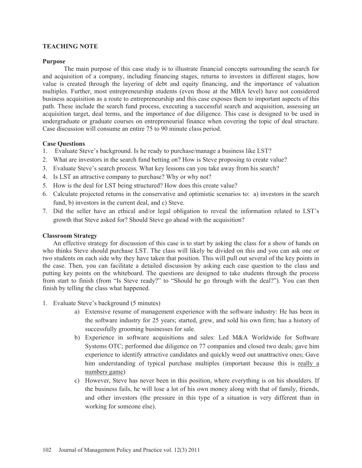## **TEACHING NOTE**

### **Purpose**

The main purpose of this case study is to illustrate financial concepts surrounding the search for and acquisition of a company, including financing stages, returns to investors in different stages, how value is created through the layering of debt and equity financing, and the importance of valuation multiples. Further, most entrepreneurship students (even those at the MBA level) have not considered business acquisition as a route to entrepreneurship and this case exposes them to important aspects of this path. These include the search fund process, executing a successful search and acquisition, assessing an acquisition target, deal terms, and the importance of due diligence. This case is designed to be used in undergraduate or graduate courses on entrepreneurial finance when covering the topic of deal structure. Case discussion will consume an entire 75 to 90 minute class period.

### **Case Questions**

- 1. Evaluate Steve's background. Is he ready to purchase/manage a business like LST?
- 2. What are investors in the search fund betting on? How is Steve proposing to create value?
- 3. Evaluate Steve's search process. What key lessons can you take away from his search?
- 4. Is LST an attractive company to purchase? Why or why not?
- 5. How is the deal for LST being structured? How does this create value?
- 6. Calculate projected returns in the conservative and optimistic scenarios to: a) investors in the search fund, b) investors in the current deal, and c) Steve.
- 7. Did the seller have an ethical and/or legal obligation to reveal the information related to LST's growth that Steve asked for? Should Steve go ahead with the acquisition?

### **Classroom Strategy**

An effective strategy for discussion of this case is to start by asking the class for a show of hands on who thinks Steve should purchase LST. The class will likely be divided on this and you can ask one or two students on each side why they have taken that position. This will pull out several of the key points in the case. Then, you can facilitate a detailed discussion by asking each case question to the class and putting key points on the whiteboard. The questions are designed to take students through the process from start to finish (from "Is Steve ready?" to "Should he go through with the deal?"). You can then finish by telling the class what happened.

- 1. Evaluate Steve's background (5 minutes)
	- a) Extensive resume of management experience with the software industry: He has been in the software industry for 25 years; started, grew, and sold his own firm; has a history of successfully grooming businesses for sale.
	- b) Experience in software acquisitions and sales: Led M&A Worldwide for Software Systems OTC; performed due diligence on 77 companies and closed two deals; gave him experience to identify attractive candidates and quickly weed out unattractive ones; Gave him understanding of typical purchase multiples (important because this is really a numbers game)
	- c) However, Steve has never been in this position, where everything is on his shoulders. If the business fails, he will lose a lot of his own money along with that of family, friends, and other investors (the pressure in this type of a situation is very different than in working for someone else).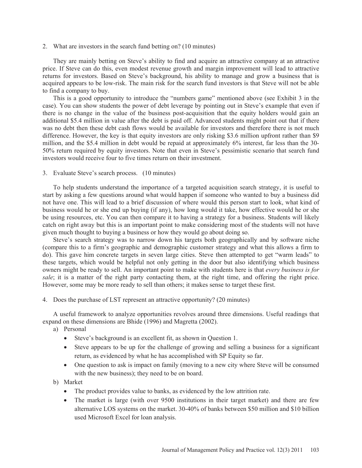2. What are investors in the search fund betting on? (10 minutes)

They are mainly betting on Steve's ability to find and acquire an attractive company at an attractive price. If Steve can do this, even modest revenue growth and margin improvement will lead to attractive returns for investors. Based on Steve's background, his ability to manage and grow a business that is acquired appears to be low-risk. The main risk for the search fund investors is that Steve will not be able to find a company to buy.

This is a good opportunity to introduce the "numbers game" mentioned above (see Exhibit 3 in the case). You can show students the power of debt leverage by pointing out in Steve's example that even if there is no change in the value of the business post-acquisition that the equity holders would gain an additional \$5.4 million in value after the debt is paid off. Advanced students might point out that if there was no debt then these debt cash flows would be available for investors and therefore there is not much difference. However, the key is that equity investors are only risking \$3.6 million upfront rather than \$9 million, and the \$5.4 million in debt would be repaid at approximately 6% interest, far less than the 30- 50% return required by equity investors. Note that even in Steve's pessimistic scenario that search fund investors would receive four to five times return on their investment.

3. Evaluate Steve's search process. (10 minutes)

To help students understand the importance of a targeted acquisition search strategy, it is useful to start by asking a few questions around what would happen if someone who wanted to buy a business did not have one. This will lead to a brief discussion of where would this person start to look, what kind of business would he or she end up buying (if any), how long would it take, how effective would he or she be using resources, etc. You can then compare it to having a strategy for a business. Students will likely catch on right away but this is an important point to make considering most of the students will not have given much thought to buying a business or how they would go about doing so.

Steve's search strategy was to narrow down his targets both geographically and by software niche (compare this to a firm's geographic and demographic customer strategy and what this allows a firm to do). This gave him concrete targets in seven large cities. Steve then attempted to get "warm leads" to these targets, which would be helpful not only getting in the door but also identifying which business owners might be ready to sell. An important point to make with students here is that *every business is for sale*; it is a matter of the right party contacting them, at the right time, and offering the right price. However, some may be more ready to sell than others; it makes sense to target these first.

4. Does the purchase of LST represent an attractive opportunity? (20 minutes)

A useful framework to analyze opportunities revolves around three dimensions. Useful readings that expand on these dimensions are Bhide (1996) and Magretta (2002).

a) Personal

- Steve's background is an excellent fit, as shown in Question 1.
- Steve appears to be up for the challenge of growing and selling a business for a significant return, as evidenced by what he has accomplished with SP Equity so far.
- $\bullet$  One question to ask is impact on family (moving to a new city where Steve will be consumed with the new business); they need to be on board.

b) Market

- The product provides value to banks, as evidenced by the low attrition rate.
- The market is large (with over 9500 institutions in their target market) and there are few alternative LOS systems on the market. 30-40% of banks between \$50 million and \$10 billion used Microsoft Excel for loan analysis.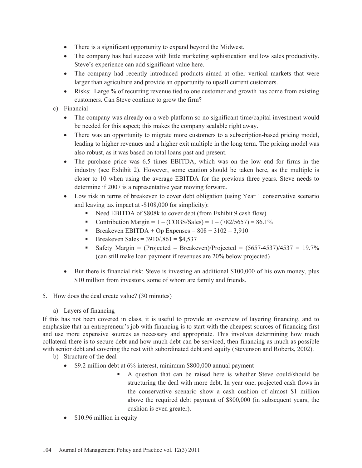- There is a significant opportunity to expand beyond the Midwest.
- The company has had success with little marketing sophistication and low sales productivity. Steve's experience can add significant value here.
- The company had recently introduced products aimed at other vertical markets that were larger than agriculture and provide an opportunity to upsell current customers.
- $\bullet$  Risks: Large % of recurring revenue tied to one customer and growth has come from existing customers. Can Steve continue to grow the firm?
- c) Financial
	- The company was already on a web platform so no significant time/capital investment would be needed for this aspect; this makes the company scalable right away.
	- There was an opportunity to migrate more customers to a subscription-based pricing model, leading to higher revenues and a higher exit multiple in the long term. The pricing model was also robust, as it was based on total loans past and present.
	- The purchase price was 6.5 times EBITDA, which was on the low end for firms in the industry (see Exhibit 2). However, some caution should be taken here, as the multiple is closer to 10 when using the average EBITDA for the previous three years. Steve needs to determine if 2007 is a representative year moving forward.
	- Low risk in terms of breakeven to cover debt obligation (using Year 1 conservative scenario and leaving tax impact at -\$108,000 for simplicity):
		- Need EBITDA of \$808k to cover debt (from Exhibit 9 cash flow)
		- Contribution Margin =  $1 (COGS/Sales) = 1 (782/5657) = 86.1\%$
		- Breakeven EBITDA + Op Expenses =  $808 + 3102 = 3,910$
		- Breakeven Sales =  $3910/0.861 = $4,537$
		- Safety Margin = (Projected Breakeven)/Projected =  $(5657-4537)/4537 = 19.7\%$ (can still make loan payment if revenues are 20% below projected)
	- $\bullet$  But there is financial risk: Steve is investing an additional \$100,000 of his own money, plus \$10 million from investors, some of whom are family and friends.
- 5. How does the deal create value? (30 minutes)
	- a) Layers of financing

If this has not been covered in class, it is useful to provide an overview of layering financing, and to emphasize that an entrepreneur's job with financing is to start with the cheapest sources of financing first and use more expensive sources as necessary and appropriate. This involves determining how much collateral there is to secure debt and how much debt can be serviced, then financing as much as possible with senior debt and covering the rest with subordinated debt and equity (Stevenson and Roberts, 2002).

- b) Structure of the deal
	- $\bullet$  \$9.2 million debt at 6% interest, minimum \$800,000 annual payment
		- A question that can be raised here is whether Steve could/should be structuring the deal with more debt. In year one, projected cash flows in the conservative scenario show a cash cushion of almost \$1 million above the required debt payment of \$800,000 (in subsequent years, the cushion is even greater).
	- $\bullet$  \$10.96 million in equity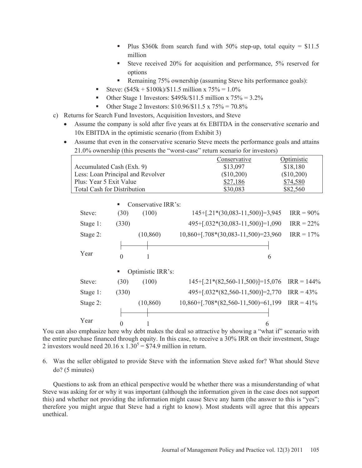- Plus \$360k from search fund with  $50\%$  step-up, total equity = \$11.5 million
- Steve received 20% for acquisition and performance, 5% reserved for options
- Remaining 75% ownership (assuming Steve hits performance goals):
- Steve:  $(\$45k + \$100k)/\$11.5$  million x 75% = 1.0%
- Other Stage 1 Investors:  $$495k/$11.5 million x 75\% = 3.2\%$
- Other Stage 2 Investors: \$10.96/\$11.5 x 75% = 70.8%
- c) Returns for Search Fund Investors, Acquisition Investors, and Steve
	- Assume the company is sold after five years at 6x EBITDA in the conservative scenario and 10x EBITDA in the optimistic scenario (from Exhibit 3)
	- Assume that even in the conservative scenario Steve meets the performance goals and attains 21.0% ownership (this presents the "worst-case" return scenario for investors)

|                                    | Conservative | Optimistic |
|------------------------------------|--------------|------------|
| Accumulated Cash (Exh. 9)          | \$13,097     | \$18,180   |
| Less: Loan Principal and Revolver  | (\$10,200)   | (\$10,200) |
| Plus: Year 5 Exit Value            | \$27,186     | \$74,580   |
| <b>Total Cash for Distribution</b> | \$30,083     | \$82,560   |

|          | ш        | Conservative IRR's: |                                         |               |
|----------|----------|---------------------|-----------------------------------------|---------------|
| Steve:   | (30)     | (100)               | $145+[.21*(30,083-11,500)]=3,945$       | $IRR = 90\%$  |
| Stage 1: | (330)    |                     | $495+[.032*(30,083-11,500)]=1,090$      | $IRR = 22\%$  |
| Stage 2: |          | (10, 860)           | $10,860 +$ [.708*(30,083-11,500)=23,960 | $IRR = 17\%$  |
|          |          |                     |                                         |               |
| Year     | $\theta$ |                     | 6                                       |               |
|          | п        | Optimistic IRR's:   |                                         |               |
| Steve:   | (30)     | (100)               | $145+[.21*(82,560-11,500)]=15,076$      | $IRR = 144\%$ |
| Stage 1: | (330)    |                     | 495+[.032*(82,560-11,500)]=2,770        | $IRR = 43\%$  |
| Stage 2: |          | (10, 860)           | $10,860 +$ [.708*(82,560-11,500)=61,199 | $IRR = 41\%$  |
|          |          |                     |                                         |               |
| Year     | $\Omega$ |                     | 6                                       |               |

You can also emphasize here why debt makes the deal so attractive by showing a "what if" scenario with the entire purchase financed through equity. In this case, to receive a 30% IRR on their investment, Stage 2 investors would need 20.16 x  $1.30^5 = $74.9$  million in return.

# 6. Was the seller obligated to provide Steve with the information Steve asked for? What should Steve do? (5 minutes)

Questions to ask from an ethical perspective would be whether there was a misunderstanding of what Steve was asking for or why it was important (although the information given in the case does not support this) and whether not providing the information might cause Steve any harm (the answer to this is "yes"; therefore you might argue that Steve had a right to know). Most students will agree that this appears unethical.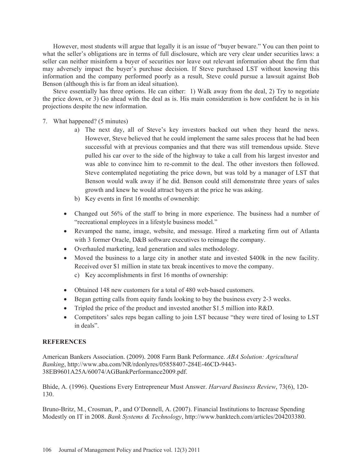However, most students will argue that legally it is an issue of "buyer beware." You can then point to what the seller's obligations are in terms of full disclosure, which are very clear under securities laws: a seller can neither misinform a buyer of securities nor leave out relevant information about the firm that may adversely impact the buyer's purchase decision. If Steve purchased LST without knowing this information and the company performed poorly as a result, Steve could pursue a lawsuit against Bob Benson (although this is far from an ideal situation).

Steve essentially has three options. He can either: 1) Walk away from the deal, 2) Try to negotiate the price down, or 3) Go ahead with the deal as is. His main consideration is how confident he is in his projections despite the new information.

- 7. What happened? (5 minutes)
	- a) The next day, all of Steve's key investors backed out when they heard the news. However, Steve believed that he could implement the same sales process that he had been successful with at previous companies and that there was still tremendous upside. Steve pulled his car over to the side of the highway to take a call from his largest investor and was able to convince him to re-commit to the deal. The other investors then followed. Steve contemplated negotiating the price down, but was told by a manager of LST that Benson would walk away if he did. Benson could still demonstrate three years of sales growth and knew he would attract buyers at the price he was asking.
	- b) Key events in first 16 months of ownership:
	- Changed out 56% of the staff to bring in more experience. The business had a number of "recreational employees in a lifestyle business model."
	- Revamped the name, image, website, and message. Hired a marketing firm out of Atlanta with 3 former Oracle, D&B software executives to reimage the company.
	- Overhauled marketing, lead generation and sales methodology.
	- Moved the business to a large city in another state and invested \$400k in the new facility. Received over \$1 million in state tax break incentives to move the company.
		- c) Key accomplishments in first 16 months of ownership:
	- Obtained 148 new customers for a total of 480 web-based customers.
	- $\bullet$  Began getting calls from equity funds looking to buy the business every 2-3 weeks.
	- Tripled the price of the product and invested another \$1.5 million into R&D.
	- Competitors' sales reps began calling to join LST because "they were tired of losing to LST in deals".

## **REFERENCES**

American Bankers Association. (2009). 2008 Farm Bank Peformance. *ABA Solution: Agricultural Banking*, http://www.aba.com/NR/rdonlyres/05858407-284E-46CD-9443- 38EB9601A25A/60074/AGBankPerformance2009.pdf.

Bhide, A. (1996). Questions Every Entrepreneur Must Answer. *Harvard Business Review*, 73(6), 120- 130.

Bruno-Britz, M., Crosman, P., and O'Donnell, A. (2007). Financial Institutions to Increase Spending Modestly on IT in 2008. *Bank Systems & Technology*, http://www.banktech.com/articles/204203380.